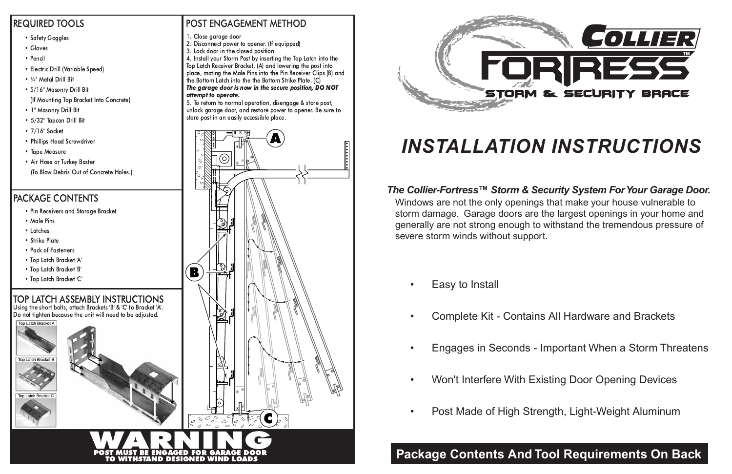- Gloves
- Pencil
- Electric Drill (Variable Speed)
- ¼" Metal Drill Bit
- 5/16" Masonry Drill Bit
- (If Mounting Top Bracket Into Concrete)
- 1" Masonry Drill Bit
- 5/32" Tapcon Drill Bit
- 7/16" Socket
- Phillips Head Screwdriver
- Tape Measure
- Air Hose or Turkey Baster (To Blow Debris Out of Concrete Holes.)

- Pin Receivers and Storage Bracket
- Male Pins
- Latches

**Top Latch Bracket I** 

Top Latch Bracket C

- Strike Plate
- Pack of Fasteners
- Top Latch Bracket 'A'
- Top Latch Bracket 'B'
- Top Latch Bracket 'C'

Using the short bolts, attach Brackets 'B' & 'C' to Bracket 'A'. Do not tighten because the unit will need to be adjusted. Top Latch Bracket A

## TOP LATCH ASSEMBLY INSTRUCTIONS

## PACKAGE CONTENTS

### REQUIRED TOOLS

#### • Safety Goggles

- 1. Close garage door
- 2. Disconnect power to opener. (If equipped)
- 3. Lock door in the closed position.

*The Collier-Fortress™ Storm & Security System For Your Garage Door.* Windows are not the only openings that make your house vulnerable to storm damage. Garage doors are the largest openings in your home and generally are not strong enough to withstand the tremendous pressure of severe storm winds without support.

4. Install your Storm Post by inserting the Top Latch into the Top Latch Receiver Bracket, (A) and lowering the pos<sup>t</sup> into place, mating the Male Pins into the Pin Receiver Clips (B) and the Bottom Latch into the the Bottom Strike Plate. (C)

•

Easy to Install

- •Complete Kit - Contains All Hardware and Brackets
- •Engages in Seconds - Important When a Storm Threatens
- •Won't Interfere With Existing Door Opening Devices
- •Post Made of High Strength, Light-Weight Aluminum

# *INSTALLATION INSTRUCTIONS*

## **Package Contents And Tool Requirements On Back**

## POST ENGAGEMENT METHOD





The garage door is now in the secure position, DO NOT attempt to operate.

5. To return to normal operation, disengage & store post, unlock garage door, and restore power to opener. Be sure to store pos<sup>t</sup> in an easily accessible place.